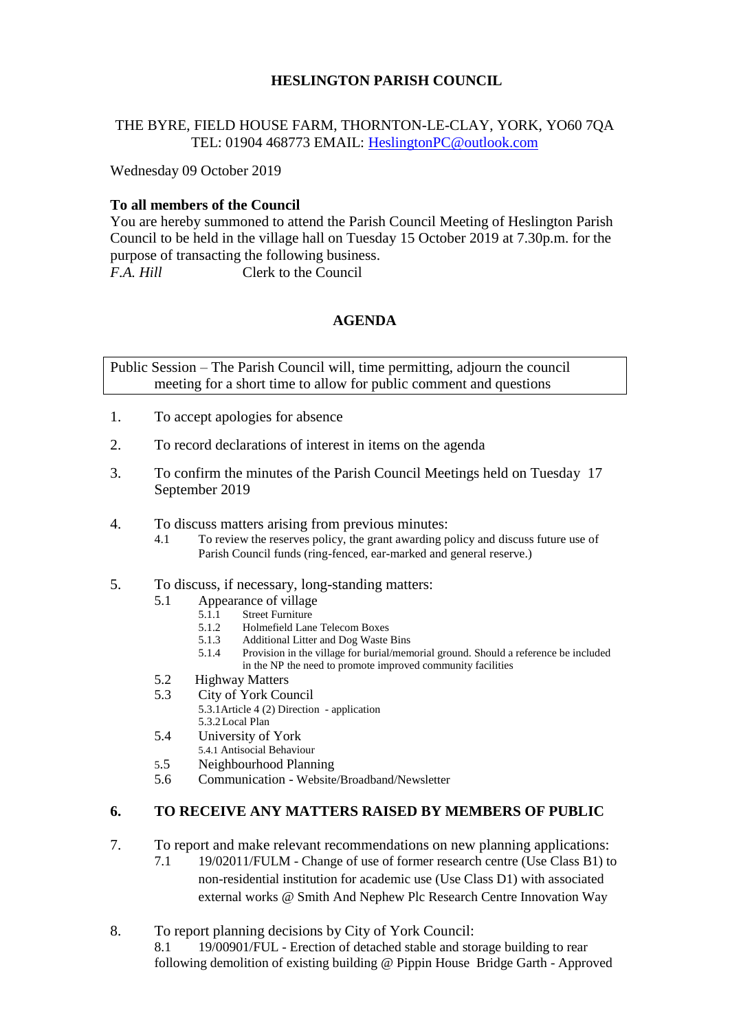# **HESLINGTON PARISH COUNCIL**

## THE BYRE, FIELD HOUSE FARM, THORNTON-LE-CLAY, YORK, YO60 7QA TEL: 01904 468773 EMAIL: [HeslingtonPC@outlook.com](mailto:HeslingtonPC@outlook.com)

Wednesday 09 October 2019

# **To all members of the Council**

You are hereby summoned to attend the Parish Council Meeting of Heslington Parish Council to be held in the village hall on Tuesday 15 October 2019 at 7.30p.m. for the purpose of transacting the following business. *F.A. Hill* Clerk to the Council

## **AGENDA**

Public Session – The Parish Council will, time permitting, adjourn the council meeting for a short time to allow for public comment and questions

- 1. To accept apologies for absence
- 2. To record declarations of interest in items on the agenda
- 3. To confirm the minutes of the Parish Council Meetings held on Tuesday 17 September 2019
- 4. To discuss matters arising from previous minutes:
	- 4.1 To review the reserves policy, the grant awarding policy and discuss future use of Parish Council funds (ring-fenced, ear-marked and general reserve.)

#### 5. To discuss, if necessary, long-standing matters:

- 5.1 Appearance of village
	- 5.1.1 Street Furniture<br>5.1.2 Holmefield Lang
	- 5.1.2 Holmefield Lane Telecom Boxes
	- 5.1.3 Additional Litter and Dog Waste Bins
	- 5.1.4 Provision in the village for burial/memorial ground. Should a reference be included in the NP the need to promote improved community facilities
- 5.2 Highway Matters
- 5.3 City of York Council
	- 5.3.1Article 4 (2) Direction application 5.3.2Local Plan
- 5.4 University of York
	- 5.4.1 Antisocial Behaviour
- 5.5 Neighbourhood Planning
- 5.6 Communication Website/Broadband/Newsletter

#### **6. TO RECEIVE ANY MATTERS RAISED BY MEMBERS OF PUBLIC**

- 7. To report and make relevant recommendations on new planning applications:
	- 7.1 19/02011/FULM Change of use of former research centre (Use Class B1) to non-residential institution for academic use (Use Class D1) with associated external works @ Smith And Nephew Plc Research Centre Innovation Way
- 8. To report planning decisions by City of York Council: 8.1 19/00901/FUL - Erection of detached stable and storage building to rear following demolition of existing building @ Pippin House Bridge Garth - Approved